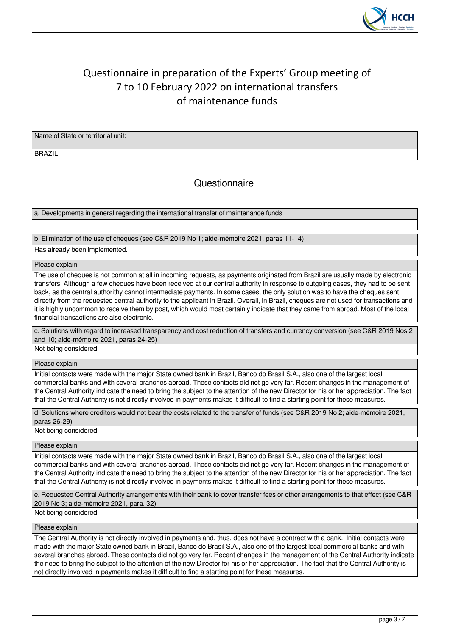

# Questionnaire in preparation of the Experts' Group meeting of 7 to 10 February 2022 on international transfers of maintenance funds

Name of State or territorial unit:

BRAZIL

**Questionnaire** 

a. Developments in general regarding the international transfer of maintenance funds

# b. Elimination of the use of cheques (see C&R 2019 No 1; aide-mémoire 2021, paras 11-14)

Has already been implemented.

# Please explain:

The use of cheques is not common at all in incoming requests, as payments originated from Brazil are usually made by electronic transfers. Although a few cheques have been received at our central authority in response to outgoing cases, they had to be sent back, as the central authorithy cannot intermediate payments. In some cases, the only solution was to have the cheques sent directly from the requested central authority to the applicant in Brazil. Overall, in Brazil, cheques are not used for transactions and it is highly uncommon to receive them by post, which would most certainly indicate that they came from abroad. Most of the local financial transactions are also electronic.

c. Solutions with regard to increased transparency and cost reduction of transfers and currency conversion (see C&R 2019 Nos 2 and 10; aide-mémoire 2021, paras 24-25) Not being considered.

Please explain:

Initial contacts were made with the major State owned bank in Brazil, Banco do Brasil S.A., also one of the largest local commercial banks and with several branches abroad. These contacts did not go very far. Recent changes in the management of the Central Authority indicate the need to bring the subject to the attention of the new Director for his or her appreciation. The fact that the Central Authority is not directly involved in payments makes it difficult to find a starting point for these measures.

d. Solutions where creditors would not bear the costs related to the transfer of funds (see C&R 2019 No 2; aide-mémoire 2021, paras 26-29)

Not being considered.

Please explain:

Initial contacts were made with the major State owned bank in Brazil, Banco do Brasil S.A., also one of the largest local commercial banks and with several branches abroad. These contacts did not go very far. Recent changes in the management of the Central Authority indicate the need to bring the subject to the attention of the new Director for his or her appreciation. The fact that the Central Authority is not directly involved in payments makes it difficult to find a starting point for these measures.

e. Requested Central Authority arrangements with their bank to cover transfer fees or other arrangements to that effect (see C&R 2019 No 3; aide-mémoire 2021, para. 32)

Not being considered.

Please explain:

The Central Authority is not directly involved in payments and, thus, does not have a contract with a bank. Initial contacts were made with the major State owned bank in Brazil, Banco do Brasil S.A., also one of the largest local commercial banks and with several branches abroad. These contacts did not go very far. Recent changes in the management of the Central Authority indicate the need to bring the subject to the attention of the new Director for his or her appreciation. The fact that the Central Authority is not directly involved in payments makes it difficult to find a starting point for these measures.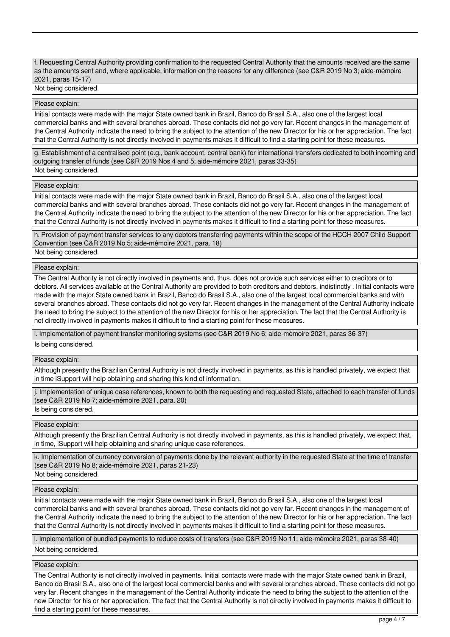f. Requesting Central Authority providing confirmation to the requested Central Authority that the amounts received are the same as the amounts sent and, where applicable, information on the reasons for any difference (see C&R 2019 No 3; aide-mémoire 2021, paras 15-17)

Not being considered.

# Please explain:

Initial contacts were made with the major State owned bank in Brazil, Banco do Brasil S.A., also one of the largest local commercial banks and with several branches abroad. These contacts did not go very far. Recent changes in the management of the Central Authority indicate the need to bring the subject to the attention of the new Director for his or her appreciation. The fact that the Central Authority is not directly involved in payments makes it difficult to find a starting point for these measures.

g. Establishment of a centralised point (e.g., bank account, central bank) for international transfers dedicated to both incoming and outgoing transfer of funds (see C&R 2019 Nos 4 and 5; aide-mémoire 2021, paras 33-35) Not being considered.

## Please explain:

Initial contacts were made with the major State owned bank in Brazil, Banco do Brasil S.A., also one of the largest local commercial banks and with several branches abroad. These contacts did not go very far. Recent changes in the management of the Central Authority indicate the need to bring the subject to the attention of the new Director for his or her appreciation. The fact that the Central Authority is not directly involved in payments makes it difficult to find a starting point for these measures.

h. Provision of payment transfer services to any debtors transferring payments within the scope of the HCCH 2007 Child Support Convention (see C&R 2019 No 5; aide-mémoire 2021, para. 18) Not being considered.

# Please explain:

The Central Authority is not directly involved in payments and, thus, does not provide such services either to creditors or to debtors. All services available at the Central Authority are provided to both creditors and debtors, indistinctly . Initial contacts were made with the major State owned bank in Brazil, Banco do Brasil S.A., also one of the largest local commercial banks and with several branches abroad. These contacts did not go very far. Recent changes in the management of the Central Authority indicate the need to bring the subject to the attention of the new Director for his or her appreciation. The fact that the Central Authority is not directly involved in payments makes it difficult to find a starting point for these measures.

i. Implementation of payment transfer monitoring systems (see C&R 2019 No 6; aide-mémoire 2021, paras 36-37) Is being considered.

#### Please explain:

Although presently the Brazilian Central Authority is not directly involved in payments, as this is handled privately, we expect that in time iSupport will help obtaining and sharing this kind of information.

j. Implementation of unique case references, known to both the requesting and requested State, attached to each transfer of funds (see C&R 2019 No 7; aide-mémoire 2021, para. 20)

Is being considered.

### Please explain:

Although presently the Brazilian Central Authority is not directly involved in payments, as this is handled privately, we expect that, in time, iSupport will help obtaining and sharing unique case references.

k. Implementation of currency conversion of payments done by the relevant authority in the requested State at the time of transfer (see C&R 2019 No 8; aide-mémoire 2021, paras 21-23)

Not being considered.

### Please explain:

Initial contacts were made with the major State owned bank in Brazil, Banco do Brasil S.A., also one of the largest local commercial banks and with several branches abroad. These contacts did not go very far. Recent changes in the management of the Central Authority indicate the need to bring the subject to the attention of the new Director for his or her appreciation. The fact that the Central Authority is not directly involved in payments makes it difficult to find a starting point for these measures.

l. Implementation of bundled payments to reduce costs of transfers (see C&R 2019 No 11; aide-mémoire 2021, paras 38-40)

Not being considered.

### Please explain:

The Central Authority is not directly involved in payments. Initial contacts were made with the major State owned bank in Brazil, Banco do Brasil S.A., also one of the largest local commercial banks and with several branches abroad. These contacts did not go very far. Recent changes in the management of the Central Authority indicate the need to bring the subject to the attention of the new Director for his or her appreciation. The fact that the Central Authority is not directly involved in payments makes it difficult to find a starting point for these measures.